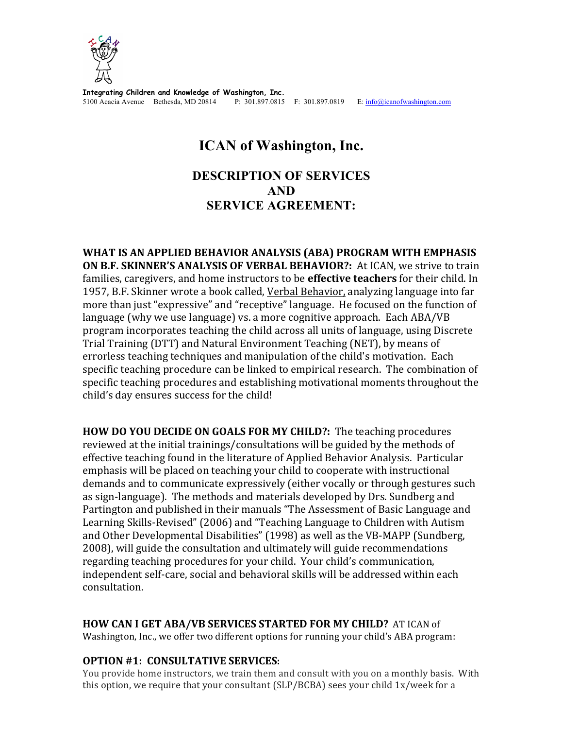

**Integrating Children and Knowledge of Washington, Inc.** 5100 Acacia Avenue Bethesda, MD 20814 P: 301.897.0815 F: 301.897.0819 E: info@icanofwashington.com

# **ICAN of Washington, Inc.**

## **DESCRIPTION OF SERVICES AND SERVICE AGREEMENT:**

**WHAT IS AN APPLIED BEHAVIOR ANALYSIS (ABA) PROGRAM WITH EMPHASIS ON B.F. SKINNER'S ANALYSIS OF VERBAL BEHAVIOR?:** At ICAN, we strive to train families, caregivers, and home instructors to be **effective teachers** for their child. In 1957, B.F. Skinner wrote a book called, Verbal Behavior, analyzing language into far more than just "expressive" and "receptive" language. He focused on the function of language (why we use language) vs. a more cognitive approach. Each ABA/VB program incorporates teaching the child across all units of language, using Discrete Trial Training (DTT) and Natural Environment Teaching (NET), by means of errorless teaching techniques and manipulation of the child's motivation. Each specific teaching procedure can be linked to empirical research. The combination of specific teaching procedures and establishing motivational moments throughout the child's day ensures success for the child!

**HOW DO YOU DECIDE ON GOALS FOR MY CHILD?:** The teaching procedures reviewed at the initial trainings/consultations will be guided by the methods of effective teaching found in the literature of Applied Behavior Analysis. Particular emphasis will be placed on teaching your child to cooperate with instructional demands and to communicate expressively (either vocally or through gestures such as sign-language). The methods and materials developed by Drs. Sundberg and Partington and published in their manuals "The Assessment of Basic Language and Learning Skills-Revised" (2006) and "Teaching Language to Children with Autism and Other Developmental Disabilities" (1998) as well as the VB-MAPP (Sundberg, 2008), will guide the consultation and ultimately will guide recommendations regarding teaching procedures for your child. Your child's communication, independent self-care, social and behavioral skills will be addressed within each consultation. 

**HOW CAN I GET ABA/VB SERVICES STARTED FOR MY CHILD?** AT ICAN of Washington, Inc., we offer two different options for running your child's ABA program:

## **OPTION #1: CONSULTATIVE SERVICES:**

You provide home instructors, we train them and consult with you on a monthly basis. With this option, we require that your consultant  $(SLP/BCBA)$  sees your child  $1x/$ week for a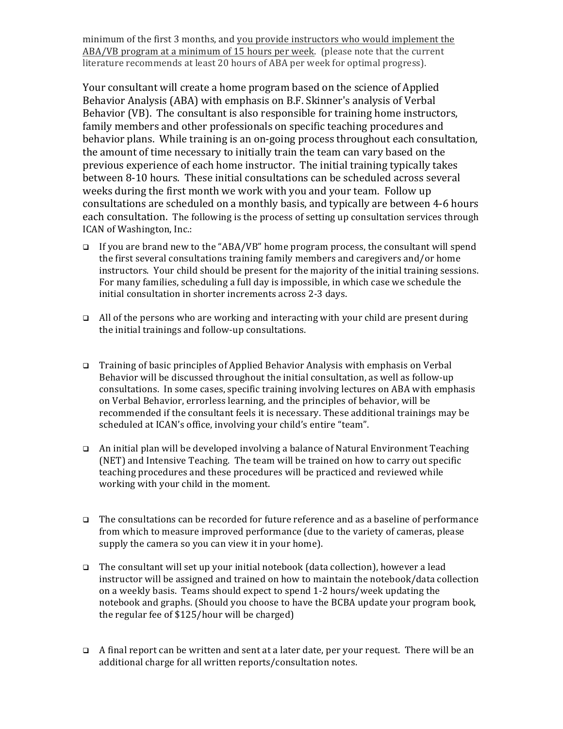minimum of the first 3 months, and you provide instructors who would implement the ABA/VB program at a minimum of 15 hours per week. (please note that the current literature recommends at least 20 hours of ABA per week for optimal progress).

Your consultant will create a home program based on the science of Applied Behavior Analysis (ABA) with emphasis on B.F. Skinner's analysis of Verbal Behavior (VB). The consultant is also responsible for training home instructors, family members and other professionals on specific teaching procedures and behavior plans. While training is an on-going process throughout each consultation, the amount of time necessary to initially train the team can vary based on the previous experience of each home instructor. The initial training typically takes between 8-10 hours. These initial consultations can be scheduled across several weeks during the first month we work with you and your team. Follow up consultations are scheduled on a monthly basis, and typically are between 4-6 hours each consultation. The following is the process of setting up consultation services through ICAN of Washington, Inc.:

- $\Box$  If you are brand new to the "ABA/VB" home program process, the consultant will spend the first several consultations training family members and caregivers and/or home instructors. Your child should be present for the majority of the initial training sessions. For many families, scheduling a full day is impossible, in which case we schedule the initial consultation in shorter increments across 2-3 days.
- $\Box$  All of the persons who are working and interacting with your child are present during the initial trainings and follow-up consultations.
- **Training of basic principles of Applied Behavior Analysis with emphasis on Verbal** Behavior will be discussed throughout the initial consultation, as well as follow-up consultations. In some cases, specific training involving lectures on ABA with emphasis on Verbal Behavior, errorless learning, and the principles of behavior, will be recommended if the consultant feels it is necessary. These additional trainings may be scheduled at ICAN's office, involving your child's entire "team".
- $\Box$  An initial plan will be developed involving a balance of Natural Environment Teaching (NET) and Intensive Teaching. The team will be trained on how to carry out specific teaching procedures and these procedures will be practiced and reviewed while working with your child in the moment.
- $\Box$  The consultations can be recorded for future reference and as a baseline of performance from which to measure improved performance (due to the variety of cameras, please supply the camera so you can view it in your home).
- $\Box$  The consultant will set up your initial notebook (data collection), however a lead instructor will be assigned and trained on how to maintain the notebook/data collection on a weekly basis. Teams should expect to spend 1-2 hours/week updating the notebook and graphs. (Should you choose to have the BCBA update your program book, the regular fee of \$125/hour will be charged)
- $\Box$  A final report can be written and sent at a later date, per your request. There will be an additional charge for all written reports/consultation notes.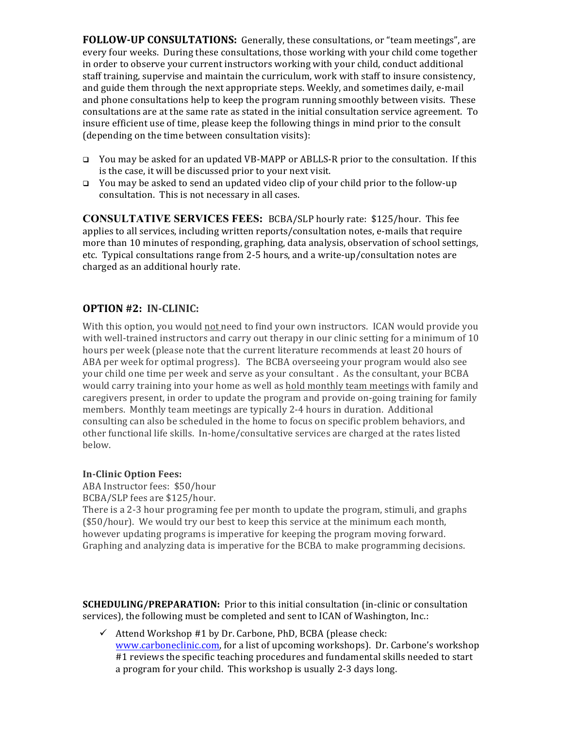**FOLLOW-UP CONSULTATIONS:** Generally, these consultations, or "team meetings", are every four weeks. During these consultations, those working with your child come together in order to observe your current instructors working with your child, conduct additional staff training, supervise and maintain the curriculum, work with staff to insure consistency, and guide them through the next appropriate steps. Weekly, and sometimes daily, e-mail and phone consultations help to keep the program running smoothly between visits. These consultations are at the same rate as stated in the initial consultation service agreement. To insure efficient use of time, please keep the following things in mind prior to the consult (depending on the time between consultation visits):

- $\Box$  You may be asked for an updated VB-MAPP or ABLLS-R prior to the consultation. If this is the case, it will be discussed prior to your next visit.
- **E** You may be asked to send an updated video clip of your child prior to the follow-up consultation. This is not necessary in all cases.

**CONSULTATIVE SERVICES FEES:** BCBA/SLP hourly rate: \$125/hour. This fee applies to all services, including written reports/consultation notes, e-mails that require more than 10 minutes of responding, graphing, data analysis, observation of school settings, etc. Typical consultations range from 2-5 hours, and a write-up/consultation notes are charged as an additional hourly rate.

## **OPTION #2: IN-CLINIC:**

With this option, you would not need to find your own instructors. ICAN would provide you with well-trained instructors and carry out therapy in our clinic setting for a minimum of  $10$ hours per week (please note that the current literature recommends at least 20 hours of ABA per week for optimal progress). The BCBA overseeing your program would also see your child one time per week and serve as your consultant. As the consultant, your BCBA would carry training into your home as well as hold monthly team meetings with family and caregivers present, in order to update the program and provide on-going training for family members. Monthly team meetings are typically 2-4 hours in duration. Additional consulting can also be scheduled in the home to focus on specific problem behaviors, and other functional life skills. In-home/consultative services are charged at the rates listed below.

#### **In-Clinic Option Fees:**

ABA Instructor fees: \$50/hour BCBA/SLP fees are \$125/hour.

There is a 2-3 hour programing fee per month to update the program, stimuli, and graphs (\$50/hour). We would try our best to keep this service at the minimum each month, however updating programs is imperative for keeping the program moving forward. Graphing and analyzing data is imperative for the BCBA to make programming decisions.

**SCHEDULING/PREPARATION:** Prior to this initial consultation (in-clinic or consultation services), the following must be completed and sent to ICAN of Washington, Inc.:

 $\checkmark$  Attend Workshop #1 by Dr. Carbone, PhD, BCBA (please check: www.carboneclinic.com, for a list of upcoming workshops). Dr. Carbone's workshop #1 reviews the specific teaching procedures and fundamental skills needed to start a program for your child. This workshop is usually 2-3 days long.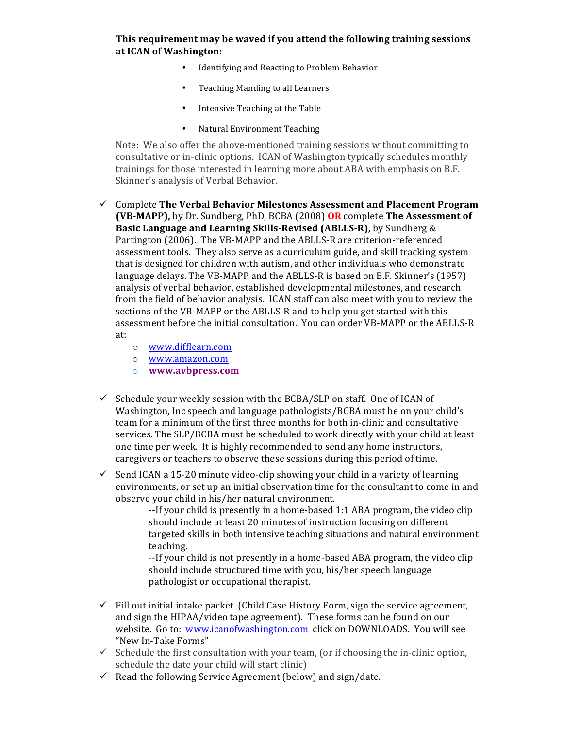### **This requirement may be waved if you attend the following training sessions at ICAN of Washington:**

- Identifying and Reacting to Problem Behavior
- Teaching Manding to all Learners
- Intensive Teaching at the Table
- Natural Environment Teaching

Note: We also offer the above-mentioned training sessions without committing to consultative or in-clinic options. ICAN of Washington typically schedules monthly trainings for those interested in learning more about ABA with emphasis on B.F. Skinner's analysis of Verbal Behavior.

- $\checkmark$  Complete The Verbal Behavior Milestones Assessment and Placement Program **(VB-MAPP),** by Dr. Sundberg, PhD, BCBA (2008) **OR** complete **The Assessment of Basic Language and Learning Skills-Revised (ABLLS-R),** by Sundberg & Partington (2006). The VB-MAPP and the ABLLS-R are criterion-referenced assessment tools. They also serve as a curriculum guide, and skill tracking system that is designed for children with autism, and other individuals who demonstrate language delays. The VB-MAPP and the ABLLS-R is based on B.F. Skinner's (1957) analysis of verbal behavior, established developmental milestones, and research from the field of behavior analysis. ICAN staff can also meet with you to review the sections of the VB-MAPP or the ABLLS-R and to help you get started with this assessment before the initial consultation. You can order VB-MAPP or the ABLLS-R at:
	- o www.difflearn.com
	- o www.amazon.com
	- o **www.avbpress.com**
- $\checkmark$  Schedule your weekly session with the BCBA/SLP on staff. One of ICAN of Washington, Inc speech and language pathologists/BCBA must be on your child's team for a minimum of the first three months for both in-clinic and consultative services. The SLP/BCBA must be scheduled to work directly with your child at least one time per week. It is highly recommended to send any home instructors, caregivers or teachers to observe these sessions during this period of time.
- $\checkmark$  Send ICAN a 15-20 minute video-clip showing your child in a variety of learning environments, or set up an initial observation time for the consultant to come in and observe your child in his/her natural environment.

--If your child is presently in a home-based 1:1 ABA program, the video clip should include at least 20 minutes of instruction focusing on different targeted skills in both intensive teaching situations and natural environment teaching. 

--If your child is not presently in a home-based ABA program, the video clip should include structured time with you, his/her speech language pathologist or occupational therapist.

- $\checkmark$  Fill out initial intake packet (Child Case History Form, sign the service agreement, and sign the HIPAA/video tape agreement). These forms can be found on our website. Go to: www.icanofwashington.com click on DOWNLOADS. You will see "New In-Take Forms"
- $\checkmark$  Schedule the first consultation with your team, (or if choosing the in-clinic option, schedule the date your child will start clinic)
- $\checkmark$  Read the following Service Agreement (below) and sign/date.